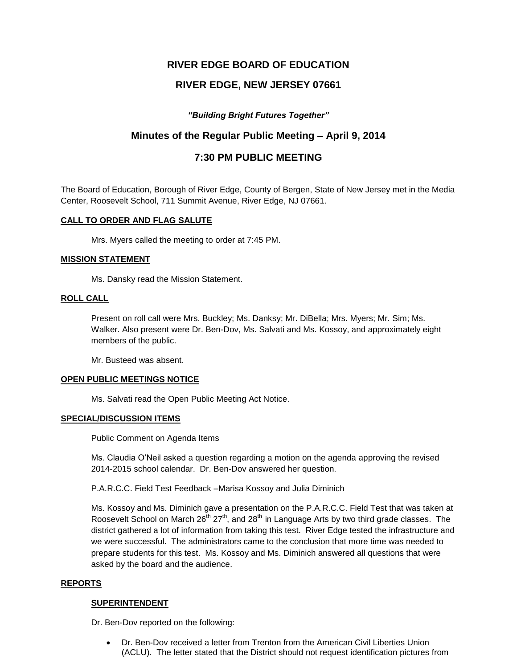# **RIVER EDGE BOARD OF EDUCATION**

# **RIVER EDGE, NEW JERSEY 07661**

# *"Building Bright Futures Together"*

# **Minutes of the Regular Public Meeting – April 9, 2014**

# **7:30 PM PUBLIC MEETING**

The Board of Education, Borough of River Edge, County of Bergen, State of New Jersey met in the Media Center, Roosevelt School, 711 Summit Avenue, River Edge, NJ 07661.

### **CALL TO ORDER AND FLAG SALUTE**

Mrs. Myers called the meeting to order at 7:45 PM.

### **MISSION STATEMENT**

Ms. Dansky read the Mission Statement.

### **ROLL CALL**

Present on roll call were Mrs. Buckley; Ms. Danksy; Mr. DiBella; Mrs. Myers; Mr. Sim; Ms. Walker. Also present were Dr. Ben-Dov, Ms. Salvati and Ms. Kossoy, and approximately eight members of the public.

Mr. Busteed was absent.

### **OPEN PUBLIC MEETINGS NOTICE**

Ms. Salvati read the Open Public Meeting Act Notice.

### **SPECIAL/DISCUSSION ITEMS**

Public Comment on Agenda Items

Ms. Claudia O'Neil asked a question regarding a motion on the agenda approving the revised 2014-2015 school calendar. Dr. Ben-Dov answered her question.

P.A.R.C.C. Field Test Feedback –Marisa Kossoy and Julia Diminich

Ms. Kossoy and Ms. Diminich gave a presentation on the P.A.R.C.C. Field Test that was taken at Roosevelt School on March  $26<sup>th</sup> 27<sup>th</sup>$ , and  $28<sup>th</sup>$  in Language Arts by two third grade classes. The district gathered a lot of information from taking this test. River Edge tested the infrastructure and we were successful. The administrators came to the conclusion that more time was needed to prepare students for this test. Ms. Kossoy and Ms. Diminich answered all questions that were asked by the board and the audience.

### **REPORTS**

### **SUPERINTENDENT**

Dr. Ben-Dov reported on the following:

 Dr. Ben-Dov received a letter from Trenton from the American Civil Liberties Union (ACLU). The letter stated that the District should not request identification pictures from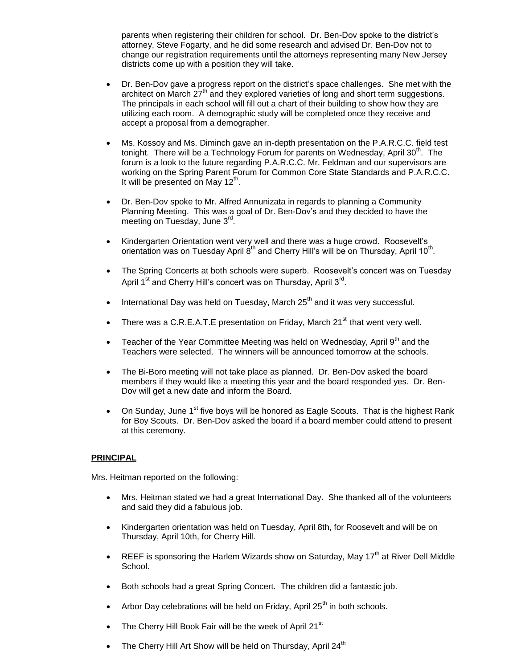parents when registering their children for school. Dr. Ben-Dov spoke to the district's attorney, Steve Fogarty, and he did some research and advised Dr. Ben-Dov not to change our registration requirements until the attorneys representing many New Jersey districts come up with a position they will take.

- Dr. Ben-Dov gave a progress report on the district's space challenges. She met with the architect on March 27<sup>th</sup> and they explored varieties of long and short term suggestions. The principals in each school will fill out a chart of their building to show how they are utilizing each room. A demographic study will be completed once they receive and accept a proposal from a demographer.
- Ms. Kossoy and Ms. Diminch gave an in-depth presentation on the P.A.R.C.C. field test tonight. There will be a Technology Forum for parents on Wednesday, April 30<sup>th</sup>. The forum is a look to the future regarding P.A.R.C.C. Mr. Feldman and our supervisors are working on the Spring Parent Forum for Common Core State Standards and P.A.R.C.C. It will be presented on May 12<sup>th</sup>.
- Dr. Ben-Dov spoke to Mr. Alfred Annunizata in regards to planning a Community Planning Meeting. This was a goal of Dr. Ben-Dov's and they decided to have the meeting on Tuesday, June 3<sup>rd</sup>.
- Kindergarten Orientation went very well and there was a huge crowd. Roosevelt's orientation was on Tuesday April  $8^{th}$  and Cherry Hill's will be on Thursday, April 10<sup>th</sup>.
- The Spring Concerts at both schools were superb. Roosevelt's concert was on Tuesday April 1<sup>st</sup> and Cherry Hill's concert was on Thursday, April 3<sup>rd</sup>.
- International Day was held on Tuesday, March  $25<sup>th</sup>$  and it was very successful.
- There was a C.R.E.A.T.E presentation on Friday, March  $21^{st}$  that went very well.
- **•** Teacher of the Year Committee Meeting was held on Wednesday, April  $9<sup>th</sup>$  and the Teachers were selected. The winners will be announced tomorrow at the schools.
- The Bi-Boro meeting will not take place as planned. Dr. Ben-Dov asked the board members if they would like a meeting this year and the board responded yes. Dr. Ben-Dov will get a new date and inform the Board.
- On Sunday, June  $1<sup>st</sup>$  five boys will be honored as Eagle Scouts. That is the highest Rank for Boy Scouts. Dr. Ben-Dov asked the board if a board member could attend to present at this ceremony.

### **PRINCIPAL**

Mrs. Heitman reported on the following:

- Mrs. Heitman stated we had a great International Day. She thanked all of the volunteers and said they did a fabulous job.
- Kindergarten orientation was held on Tuesday, April 8th, for Roosevelt and will be on Thursday, April 10th, for Cherry Hill.
- REEF is sponsoring the Harlem Wizards show on Saturday, May 17<sup>th</sup> at River Dell Middle School.
- Both schools had a great Spring Concert. The children did a fantastic job.
- Arbor Day celebrations will be held on Friday, April  $25<sup>th</sup>$  in both schools.
- $\bullet$  The Cherry Hill Book Fair will be the week of April 21<sup>st</sup>
- The Cherry Hill Art Show will be held on Thursday, April 24<sup>th</sup>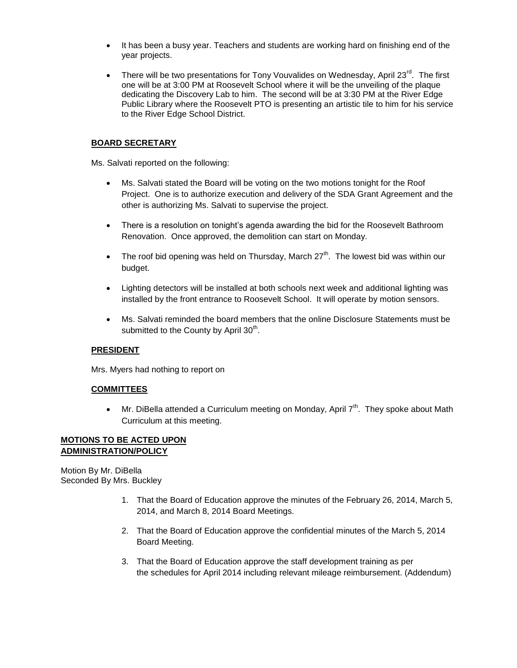- It has been a busy year. Teachers and students are working hard on finishing end of the year projects.
- There will be two presentations for Tony Vouvalides on Wednesday, April 23 $^{\text{rd}}$ . The first one will be at 3:00 PM at Roosevelt School where it will be the unveiling of the plaque dedicating the Discovery Lab to him. The second will be at 3:30 PM at the River Edge Public Library where the Roosevelt PTO is presenting an artistic tile to him for his service to the River Edge School District.

# **BOARD SECRETARY**

Ms. Salvati reported on the following:

- Ms. Salvati stated the Board will be voting on the two motions tonight for the Roof Project. One is to authorize execution and delivery of the SDA Grant Agreement and the other is authorizing Ms. Salvati to supervise the project.
- There is a resolution on tonight's agenda awarding the bid for the Roosevelt Bathroom Renovation. Once approved, the demolition can start on Monday.
- The roof bid opening was held on Thursday, March  $27<sup>th</sup>$ . The lowest bid was within our budget.
- Lighting detectors will be installed at both schools next week and additional lighting was installed by the front entrance to Roosevelt School. It will operate by motion sensors.
- Ms. Salvati reminded the board members that the online Disclosure Statements must be submitted to the County by April 30<sup>th</sup>.

# **PRESIDENT**

Mrs. Myers had nothing to report on

# **COMMITTEES**

 $\bullet$  Mr. DiBella attended a Curriculum meeting on Monday, April  $7<sup>th</sup>$ . They spoke about Math Curriculum at this meeting.

### **MOTIONS TO BE ACTED UPON ADMINISTRATION/POLICY**

Motion By Mr. DiBella Seconded By Mrs. Buckley

- 1. That the Board of Education approve the minutes of the February 26, 2014, March 5, 2014, and March 8, 2014 Board Meetings.
- 2. That the Board of Education approve the confidential minutes of the March 5, 2014 Board Meeting.
- 3. That the Board of Education approve the staff development training as per the schedules for April 2014 including relevant mileage reimbursement. (Addendum)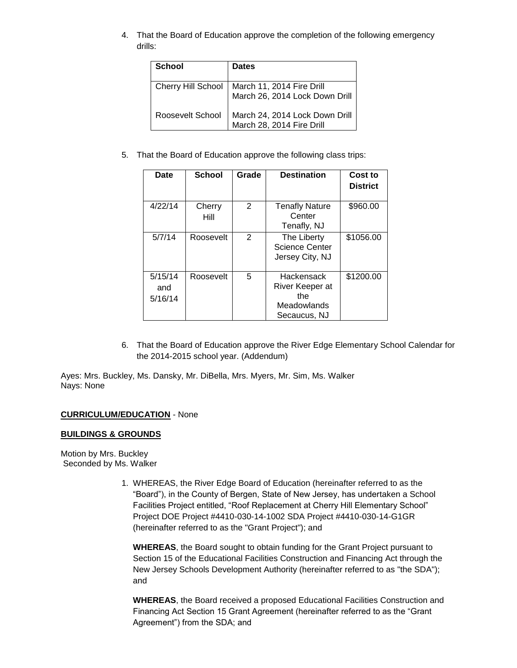4. That the Board of Education approve the completion of the following emergency drills:

| <b>School</b>      | <b>Dates</b>                                                |
|--------------------|-------------------------------------------------------------|
| Cherry Hill School | March 11, 2014 Fire Drill<br>March 26, 2014 Lock Down Drill |
| Roosevelt School   | March 24, 2014 Lock Down Drill<br>March 28, 2014 Fire Drill |

5. That the Board of Education approve the following class trips:

| Date                      | <b>School</b>  | Grade | <b>Destination</b>                                                  | Cost to<br><b>District</b> |
|---------------------------|----------------|-------|---------------------------------------------------------------------|----------------------------|
| 4/22/14                   | Cherry<br>Hill | 2     | <b>Tenafly Nature</b><br>Center<br>Tenafly, NJ                      | \$960.00                   |
| 5/7/14                    | Roosevelt      | 2     | The Liberty<br><b>Science Center</b><br>Jersey City, NJ             | \$1056.00                  |
| 5/15/14<br>and<br>5/16/14 | Roosevelt      | 5     | Hackensack<br>River Keeper at<br>the<br>Meadowlands<br>Secaucus, NJ | \$1200.00                  |

6. That the Board of Education approve the River Edge Elementary School Calendar for the 2014-2015 school year. (Addendum)

Ayes: Mrs. Buckley, Ms. Dansky, Mr. DiBella, Mrs. Myers, Mr. Sim, Ms. Walker Nays: None

# **CURRICULUM/EDUCATION** - None

# **BUILDINGS & GROUNDS**

Motion by Mrs. Buckley Seconded by Ms. Walker

> 1. WHEREAS, the River Edge Board of Education (hereinafter referred to as the "Board"), in the County of Bergen, State of New Jersey, has undertaken a School Facilities Project entitled, "Roof Replacement at Cherry Hill Elementary School" Project DOE Project #4410-030-14-1002 SDA Project #4410-030-14-G1GR (hereinafter referred to as the "Grant Project"); and

**WHEREAS**, the Board sought to obtain funding for the Grant Project pursuant to Section 15 of the Educational Facilities Construction and Financing Act through the New Jersey Schools Development Authority (hereinafter referred to as "the SDA"); and

**WHEREAS**, the Board received a proposed Educational Facilities Construction and Financing Act Section 15 Grant Agreement (hereinafter referred to as the "Grant Agreement") from the SDA; and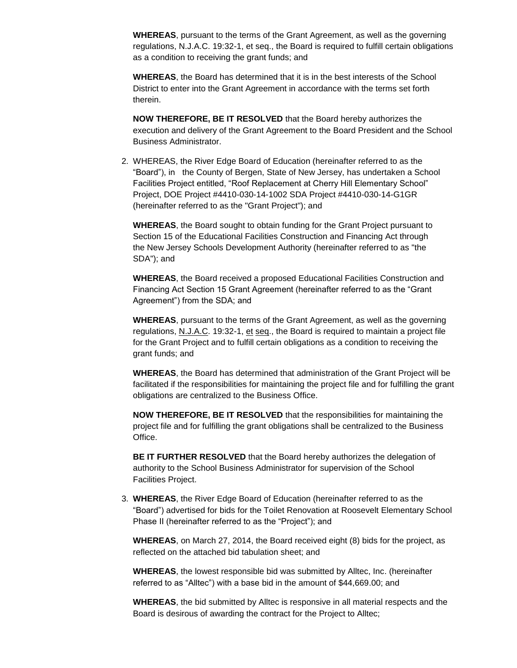**WHEREAS**, pursuant to the terms of the Grant Agreement, as well as the governing regulations, N.J.A.C. 19:32-1, et seq., the Board is required to fulfill certain obligations as a condition to receiving the grant funds; and

**WHEREAS**, the Board has determined that it is in the best interests of the School District to enter into the Grant Agreement in accordance with the terms set forth therein.

**NOW THEREFORE, BE IT RESOLVED** that the Board hereby authorizes the execution and delivery of the Grant Agreement to the Board President and the School Business Administrator.

2. WHEREAS, the River Edge Board of Education (hereinafter referred to as the "Board"), in the County of Bergen, State of New Jersey, has undertaken a School Facilities Project entitled, "Roof Replacement at Cherry Hill Elementary School" Project, DOE Project #4410-030-14-1002 SDA Project #4410-030-14-G1GR (hereinafter referred to as the "Grant Project"); and

**WHEREAS**, the Board sought to obtain funding for the Grant Project pursuant to Section 15 of the Educational Facilities Construction and Financing Act through the New Jersey Schools Development Authority (hereinafter referred to as "the SDA"); and

**WHEREAS**, the Board received a proposed Educational Facilities Construction and Financing Act Section 15 Grant Agreement (hereinafter referred to as the "Grant Agreement") from the SDA; and

**WHEREAS**, pursuant to the terms of the Grant Agreement, as well as the governing regulations, N.J.A.C. 19:32-1, et seq., the Board is required to maintain a project file for the Grant Project and to fulfill certain obligations as a condition to receiving the grant funds; and

**WHEREAS**, the Board has determined that administration of the Grant Project will be facilitated if the responsibilities for maintaining the project file and for fulfilling the grant obligations are centralized to the Business Office.

**NOW THEREFORE, BE IT RESOLVED** that the responsibilities for maintaining the project file and for fulfilling the grant obligations shall be centralized to the Business Office.

**BE IT FURTHER RESOLVED** that the Board hereby authorizes the delegation of authority to the School Business Administrator for supervision of the School Facilities Project.

3. **WHEREAS**, the River Edge Board of Education (hereinafter referred to as the "Board") advertised for bids for the Toilet Renovation at Roosevelt Elementary School Phase II (hereinafter referred to as the "Project"); and

**WHEREAS**, on March 27, 2014, the Board received eight (8) bids for the project, as reflected on the attached bid tabulation sheet; and

**WHEREAS**, the lowest responsible bid was submitted by Alltec, Inc. (hereinafter referred to as "Alltec") with a base bid in the amount of \$44,669.00; and

**WHEREAS**, the bid submitted by Alltec is responsive in all material respects and the Board is desirous of awarding the contract for the Project to Alltec;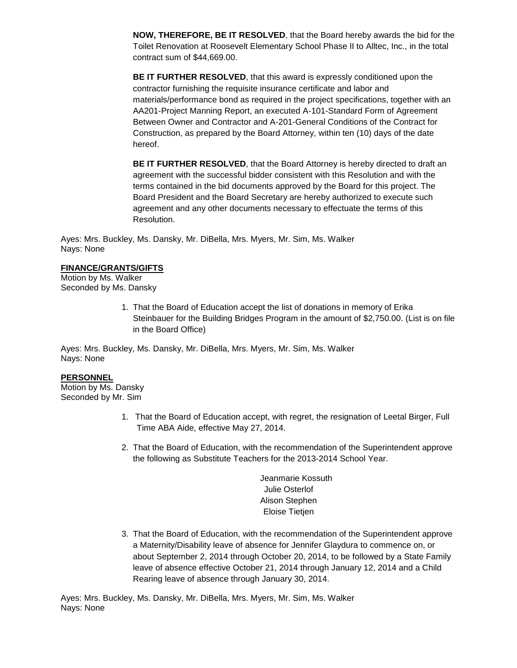**NOW, THEREFORE, BE IT RESOLVED**, that the Board hereby awards the bid for the Toilet Renovation at Roosevelt Elementary School Phase II to Alltec, Inc., in the total contract sum of \$44,669.00.

**BE IT FURTHER RESOLVED**, that this award is expressly conditioned upon the contractor furnishing the requisite insurance certificate and labor and materials/performance bond as required in the project specifications, together with an AA201-Project Manning Report, an executed A-101-Standard Form of Agreement Between Owner and Contractor and A-201-General Conditions of the Contract for Construction, as prepared by the Board Attorney, within ten (10) days of the date hereof.

**BE IT FURTHER RESOLVED**, that the Board Attorney is hereby directed to draft an agreement with the successful bidder consistent with this Resolution and with the terms contained in the bid documents approved by the Board for this project. The Board President and the Board Secretary are hereby authorized to execute such agreement and any other documents necessary to effectuate the terms of this Resolution.

Ayes: Mrs. Buckley, Ms. Dansky, Mr. DiBella, Mrs. Myers, Mr. Sim, Ms. Walker Nays: None

### **FINANCE/GRANTS/GIFTS**

Motion by Ms. Walker Seconded by Ms. Dansky

> 1. That the Board of Education accept the list of donations in memory of Erika Steinbauer for the Building Bridges Program in the amount of \$2,750.00. (List is on file in the Board Office)

Ayes: Mrs. Buckley, Ms. Dansky, Mr. DiBella, Mrs. Myers, Mr. Sim, Ms. Walker Nays: None

# **PERSONNEL**

Motion by Ms. Dansky Seconded by Mr. Sim

- 1. That the Board of Education accept, with regret, the resignation of Leetal Birger, Full Time ABA Aide, effective May 27, 2014.
- 2. That the Board of Education, with the recommendation of the Superintendent approve the following as Substitute Teachers for the 2013-2014 School Year.

Jeanmarie Kossuth Julie Osterlof Alison Stephen Eloise Tietjen

3. That the Board of Education, with the recommendation of the Superintendent approve a Maternity/Disability leave of absence for Jennifer Glaydura to commence on, or about September 2, 2014 through October 20, 2014, to be followed by a State Family leave of absence effective October 21, 2014 through January 12, 2014 and a Child Rearing leave of absence through January 30, 2014.

Ayes: Mrs. Buckley, Ms. Dansky, Mr. DiBella, Mrs. Myers, Mr. Sim, Ms. Walker Nays: None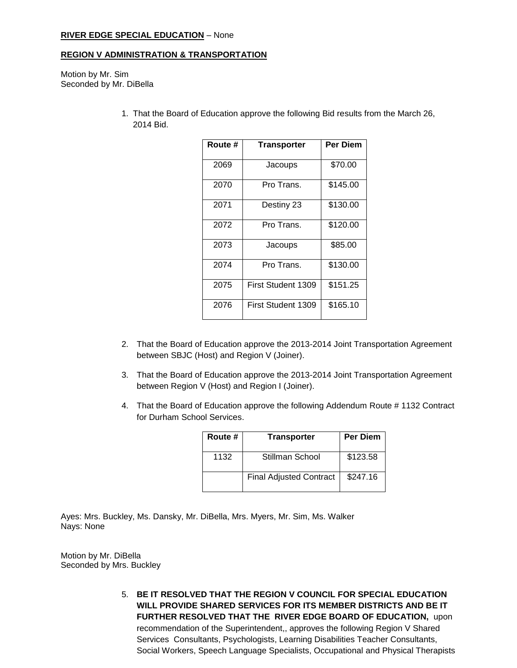### **RIVER EDGE SPECIAL EDUCATION** – None

### **REGION V ADMINISTRATION & TRANSPORTATION**

Motion by Mr. Sim Seconded by Mr. DiBella

> 1. That the Board of Education approve the following Bid results from the March 26, 2014 Bid.

| Route # | <b>Transporter</b> | Per Diem |
|---------|--------------------|----------|
| 2069    | Jacoups            | \$70.00  |
| 2070    | Pro Trans.         | \$145.00 |
| 2071    | Destiny 23         | \$130.00 |
| 2072    | Pro Trans.         | \$120.00 |
| 2073    | Jacoups            | \$85.00  |
| 2074    | Pro Trans.         | \$130.00 |
| 2075    | First Student 1309 | \$151.25 |
| 2076    | First Student 1309 | \$165.10 |

- 2. That the Board of Education approve the 2013-2014 Joint Transportation Agreement between SBJC (Host) and Region V (Joiner).
- 3. That the Board of Education approve the 2013-2014 Joint Transportation Agreement between Region V (Host) and Region I (Joiner).
- 4. That the Board of Education approve the following Addendum Route # 1132 Contract for Durham School Services.

| Route # | <b>Transporter</b>             | <b>Per Diem</b> |
|---------|--------------------------------|-----------------|
| 1132    | Stillman School                | \$123.58        |
|         | <b>Final Adjusted Contract</b> | \$247.16        |

Ayes: Mrs. Buckley, Ms. Dansky, Mr. DiBella, Mrs. Myers, Mr. Sim, Ms. Walker Nays: None

Motion by Mr. DiBella Seconded by Mrs. Buckley

> 5. **BE IT RESOLVED THAT THE REGION V COUNCIL FOR SPECIAL EDUCATION WILL PROVIDE SHARED SERVICES FOR ITS MEMBER DISTRICTS AND BE IT FURTHER RESOLVED THAT THE RIVER EDGE BOARD OF EDUCATION,** upon recommendation of the Superintendent,, approves the following Region V Shared Services Consultants, Psychologists, Learning Disabilities Teacher Consultants, Social Workers, Speech Language Specialists, Occupational and Physical Therapists